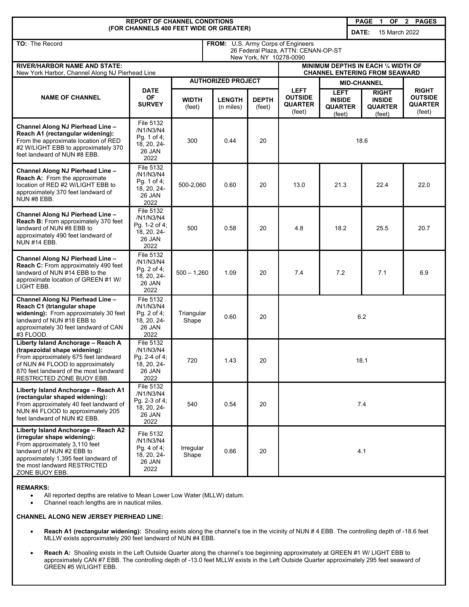| <b>REPORT OF CHANNEL CONDITIONS</b><br>PAGE 1                                                                                                                                                                              |                                                                          |                                                                                                      |                                 |                        |                                                           |                                                          |       |                                                           | $\mathbf{2}$<br><b>PAGES</b>                               |
|----------------------------------------------------------------------------------------------------------------------------------------------------------------------------------------------------------------------------|--------------------------------------------------------------------------|------------------------------------------------------------------------------------------------------|---------------------------------|------------------------|-----------------------------------------------------------|----------------------------------------------------------|-------|-----------------------------------------------------------|------------------------------------------------------------|
| (FOR CHANNELS 400 FEET WIDE OR GREATER)                                                                                                                                                                                    |                                                                          |                                                                                                      |                                 |                        |                                                           |                                                          | DATE: | 15 March 2022                                             |                                                            |
| TO: The Record                                                                                                                                                                                                             |                                                                          | FROM: U.S. Army Corps of Engineers<br>26 Federal Plaza, ATTN: CENAN-OP-ST<br>New York, NY 10278-0090 |                                 |                        |                                                           |                                                          |       |                                                           |                                                            |
| <b>RIVER/HARBOR NAME AND STATE:</b><br>New York Harbor, Channel Along NJ Pierhead Line                                                                                                                                     |                                                                          | MINIMUM DEPTHS IN EACH 1/4 WIDTH OF<br><b>CHANNEL ENTERING FROM SEAWARD</b>                          |                                 |                        |                                                           |                                                          |       |                                                           |                                                            |
| <b>NAME OF CHANNEL</b>                                                                                                                                                                                                     | <b>DATE</b><br><b>OF</b><br><b>SURVEY</b>                                | <b>AUTHORIZED PROJECT</b>                                                                            |                                 |                        |                                                           | <b>MID-CHANNEL</b>                                       |       |                                                           |                                                            |
|                                                                                                                                                                                                                            |                                                                          | WIDTH<br>(feet)                                                                                      | <b>LENGTH</b><br>$(n$ miles $)$ | <b>DEPTH</b><br>(feet) | <b>LEFT</b><br><b>OUTSIDE</b><br><b>QUARTER</b><br>(feet) | <b>LEFT</b><br><b>INSIDE</b><br><b>QUARTER</b><br>(feet) |       | <b>RIGHT</b><br><b>INSIDE</b><br><b>QUARTER</b><br>(feet) | <b>RIGHT</b><br><b>OUTSIDE</b><br><b>QUARTER</b><br>(feet) |
| Channel Along NJ Pierhead Line -<br>Reach A1 (rectangular widening):<br>From the approximate location of RED<br>#2 W/LIGHT EBB to approximately 370<br>feet landward of NUN #8 EBB.                                        | File 5132<br>/N1/N3/N4<br>Pg. 1 of 4;<br>18, 20, 24-<br>26 JAN<br>2022   | 300                                                                                                  | 0.44                            | 20                     | 18.6                                                      |                                                          |       |                                                           |                                                            |
| Channel Along NJ Pierhead Line -<br>Reach A: From the approximate<br>location of RED #2 W/LIGHT EBB to<br>approximately 370 feet landward of<br>NUN #8 EBB.                                                                | File 5132<br>/N1/N3/N4<br>Pg. 1 of 4;<br>18, 20, 24-<br>26 JAN<br>2022   | 500-2.060                                                                                            | 0.60                            | 20                     | 13.0                                                      | 21.3                                                     |       | 22.4                                                      | 22.0                                                       |
| Channel Along NJ Pierhead Line -<br>Reach B: From approximately 370 feet<br>landward of NUN #8 EBB to<br>approximately 490 feet landward of<br><b>NUN #14 EBB.</b>                                                         | File 5132<br>/N1/N3/N4<br>Pg. 1-2 of 4;<br>18, 20, 24-<br>26 JAN<br>2022 | 500                                                                                                  | 0.58                            | 20                     | 4.8                                                       | 18.2                                                     |       | 25.5                                                      | 20.7                                                       |
| Channel Along NJ Pierhead Line -<br>Reach C: From approximately 490 feet<br>landward of NUN #14 EBB to the<br>approximate location of GREEN #1 W/<br>LIGHT EBB.                                                            | File 5132<br>/N1/N3/N4<br>Pg. 2 of 4;<br>18, 20, 24-<br>26 JAN<br>2022   | $500 - 1,260$                                                                                        | 1.09                            | 20                     | 7.4                                                       | 7.2                                                      |       | 7.1                                                       | 6.9                                                        |
| Channel Along NJ Pierhead Line -<br>Reach C1 (triangular shape<br>widening): From approximately 30 feet<br>landward of NUN #18 EBB to<br>approximately 30 feet landward of CAN<br>#3 FLOOD.                                | File 5132<br>/N1/N3/N4<br>Pg. 2 of 4;<br>18, 20, 24-<br>26 JAN<br>2022   | Triangular<br>Shape                                                                                  | 0.60                            | 20                     | 6.2                                                       |                                                          |       |                                                           |                                                            |
| Liberty Island Anchorage - Reach A<br>(trapezoidal shape widening):<br>From approximately 675 feet landward<br>of NUN #4 FLOOD to approximately<br>870 feet landward of the most landward<br>RESTRICTED ZONE BUOY EBB.     | File 5132<br>/N1/N3/N4<br>Pg. 2-4 of 4;<br>18, 20, 24-<br>26 JAN<br>2022 | 720                                                                                                  | 1.43                            | 20                     | 18.1                                                      |                                                          |       |                                                           |                                                            |
| Liberty Island Anchorage - Reach A1<br>(rectangular shaped widening):<br>From approximately 40 feet landward of<br>NUN #4 FLOOD to approximately 205<br>feet landward of NUN #2 EBB.                                       | File 5132<br>/N1/N3/N4<br>Pg. 2-3 of 4;<br>18, 20, 24-<br>26 JAN<br>2022 | 540                                                                                                  | 0.54                            | 20                     | 7.4                                                       |                                                          |       |                                                           |                                                            |
| Liberty Island Anchorage - Reach A2<br>(irregular shape widening):<br>From approximately 3,110 feet<br>landward of NUN #2 EBB to<br>approximately 1,395 feet landward of<br>the most landward RESTRICTED<br>ZONE BUOY EBB. | File 5132<br>/N1/N3/N4<br>Pq. 4 of 4;<br>18, 20, 24-<br>26 JAN<br>2022   | Irregular<br>Shape                                                                                   | 0.66                            | 20                     | 4.1                                                       |                                                          |       |                                                           |                                                            |

### **REMARKS:**

• All reported depths are relative to Mean Lower Low Water (MLLW) datum.

• Channel reach lengths are in nautical miles.

# **CHANNEL ALONG NEW JERSEY PIERHEAD LINE:**

- **Reach A1 (rectangular widening):** Shoaling exists along the channel's toe in the vicinity of NUN # 4 EBB. The controlling depth of -18.6 feet MLLW exists approximately 290 feet landward of NUN #4 EBB.
- **Reach A:** Shoaling exists in the Left Outside Quarter along the channel's toe beginning approximately at GREEN #1 W/ LIGHT EBB to approximately CAN #7 EBB. The controlling depth of -13.0 feet MLLW exists in the Left Outside Quarter approximately 295 feet seaward of GREEN #5 W/LIGHT EBB.